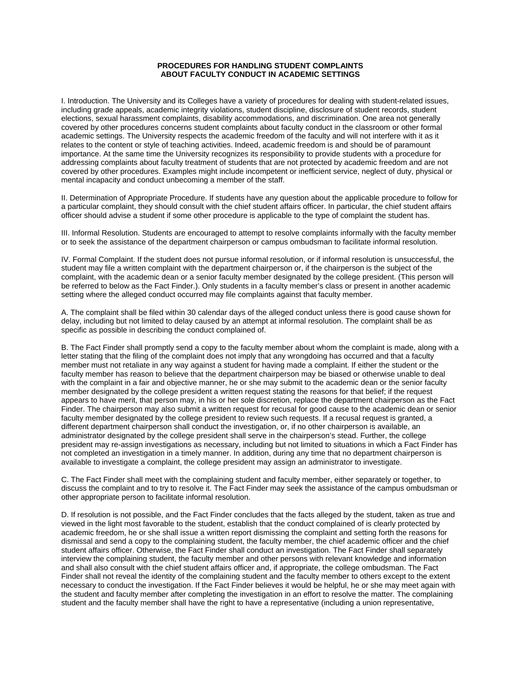## **PROCEDURES FOR HANDLING STUDENT COMPLAINTS ABOUT FACULTY CONDUCT IN ACADEMIC SETTINGS**

I. Introduction. The University and its Colleges have a variety of procedures for dealing with student-related issues, including grade appeals, academic integrity violations, student discipline, disclosure of student records, student elections, sexual harassment complaints, disability accommodations, and discrimination. One area not generally covered by other procedures concerns student complaints about faculty conduct in the classroom or other formal academic settings. The University respects the academic freedom of the faculty and will not interfere with it as it relates to the content or style of teaching activities. Indeed, academic freedom is and should be of paramount importance. At the same time the University recognizes its responsibility to provide students with a procedure for addressing complaints about faculty treatment of students that are not protected by academic freedom and are not covered by other procedures. Examples might include incompetent or inefficient service, neglect of duty, physical or mental incapacity and conduct unbecoming a member of the staff.

II. Determination of Appropriate Procedure. If students have any question about the applicable procedure to follow for a particular complaint, they should consult with the chief student affairs officer. In particular, the chief student affairs officer should advise a student if some other procedure is applicable to the type of complaint the student has.

III. Informal Resolution. Students are encouraged to attempt to resolve complaints informally with the faculty member or to seek the assistance of the department chairperson or campus ombudsman to facilitate informal resolution.

IV. Formal Complaint. If the student does not pursue informal resolution, or if informal resolution is unsuccessful, the student may file a written complaint with the department chairperson or, if the chairperson is the subject of the complaint, with the academic dean or a senior faculty member designated by the college president. (This person will be referred to below as the Fact Finder.). Only students in a faculty member's class or present in another academic setting where the alleged conduct occurred may file complaints against that faculty member.

A. The complaint shall be filed within 30 calendar days of the alleged conduct unless there is good cause shown for delay, including but not limited to delay caused by an attempt at informal resolution. The complaint shall be as specific as possible in describing the conduct complained of.

B. The Fact Finder shall promptly send a copy to the faculty member about whom the complaint is made, along with a letter stating that the filing of the complaint does not imply that any wrongdoing has occurred and that a faculty member must not retaliate in any way against a student for having made a complaint. If either the student or the faculty member has reason to believe that the department chairperson may be biased or otherwise unable to deal with the complaint in a fair and objective manner, he or she may submit to the academic dean or the senior faculty member designated by the college president a written request stating the reasons for that belief; if the request appears to have merit, that person may, in his or her sole discretion, replace the department chairperson as the Fact Finder. The chairperson may also submit a written request for recusal for good cause to the academic dean or senior faculty member designated by the college president to review such requests. If a recusal request is granted, a different department chairperson shall conduct the investigation, or, if no other chairperson is available, an administrator designated by the college president shall serve in the chairperson's stead. Further, the college president may re-assign investigations as necessary, including but not limited to situations in which a Fact Finder has not completed an investigation in a timely manner. In addition, during any time that no department chairperson is available to investigate a complaint, the college president may assign an administrator to investigate.

C. The Fact Finder shall meet with the complaining student and faculty member, either separately or together, to discuss the complaint and to try to resolve it. The Fact Finder may seek the assistance of the campus ombudsman or other appropriate person to facilitate informal resolution.

D. If resolution is not possible, and the Fact Finder concludes that the facts alleged by the student, taken as true and viewed in the light most favorable to the student, establish that the conduct complained of is clearly protected by academic freedom, he or she shall issue a written report dismissing the complaint and setting forth the reasons for dismissal and send a copy to the complaining student, the faculty member, the chief academic officer and the chief student affairs officer. Otherwise, the Fact Finder shall conduct an investigation. The Fact Finder shall separately interview the complaining student, the faculty member and other persons with relevant knowledge and information and shall also consult with the chief student affairs officer and, if appropriate, the college ombudsman. The Fact Finder shall not reveal the identity of the complaining student and the faculty member to others except to the extent necessary to conduct the investigation. If the Fact Finder believes it would be helpful, he or she may meet again with the student and faculty member after completing the investigation in an effort to resolve the matter. The complaining student and the faculty member shall have the right to have a representative (including a union representative,